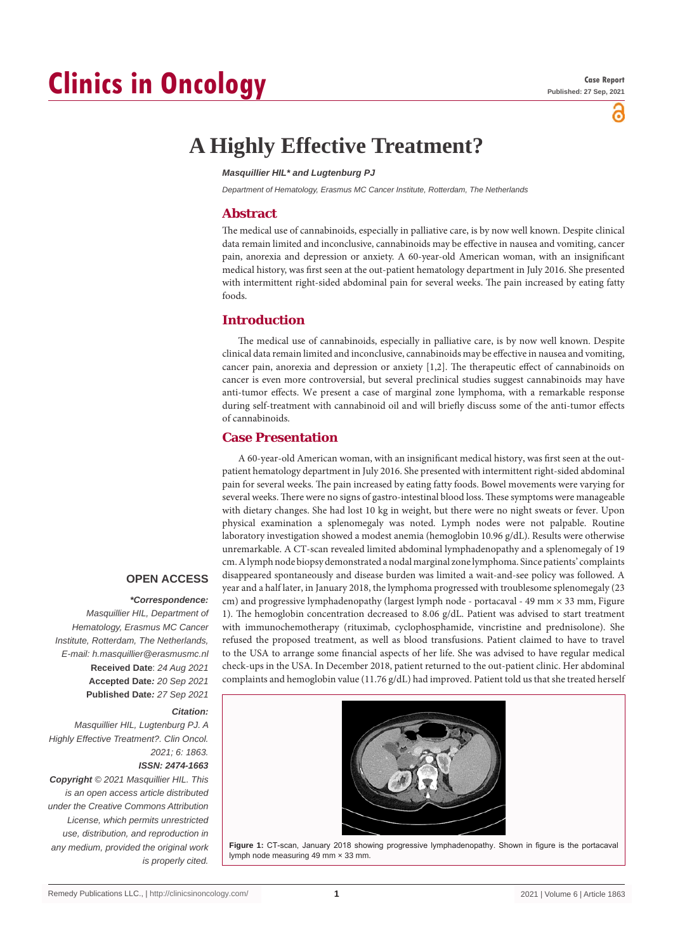# **Clinics in Oncology**

õ

# **A Highly Effective Treatment?**

#### *Masquillier HIL\* and Lugtenburg PJ*

*Department of Hematology, Erasmus MC Cancer Institute, Rotterdam, The Netherlands*

# **Abstract**

The medical use of cannabinoids, especially in palliative care, is by now well known. Despite clinical data remain limited and inconclusive, cannabinoids may be effective in nausea and vomiting, cancer pain, anorexia and depression or anxiety. A 60-year-old American woman, with an insignificant medical history, was first seen at the out-patient hematology department in July 2016. She presented with intermittent right-sided abdominal pain for several weeks. The pain increased by eating fatty foods.

# **Introduction**

The medical use of cannabinoids, especially in palliative care, is by now well known. Despite clinical data remain limited and inconclusive, cannabinoids may be effective in nausea and vomiting, cancer pain, anorexia and depression or anxiety [1,2]. The therapeutic effect of cannabinoids on cancer is even more controversial, but several preclinical studies suggest cannabinoids may have anti-tumor effects. We present a case of marginal zone lymphoma, with a remarkable response during self-treatment with cannabinoid oil and will briefly discuss some of the anti-tumor effects of cannabinoids.

# **Case Presentation**

A 60-year-old American woman, with an insignificant medical history, was first seen at the outpatient hematology department in July 2016. She presented with intermittent right-sided abdominal pain for several weeks. The pain increased by eating fatty foods. Bowel movements were varying for several weeks. There were no signs of gastro-intestinal blood loss. These symptoms were manageable with dietary changes. She had lost 10 kg in weight, but there were no night sweats or fever. Upon physical examination a splenomegaly was noted. Lymph nodes were not palpable. Routine laboratory investigation showed a modest anemia (hemoglobin 10.96 g/dL). Results were otherwise unremarkable. A CT-scan revealed limited abdominal lymphadenopathy and a splenomegaly of 19 cm. A lymph node biopsy demonstrated a nodal marginal zone lymphoma. Since patients' complaints disappeared spontaneously and disease burden was limited a wait-and-see policy was followed. A year and a half later, in January 2018, the lymphoma progressed with troublesome splenomegaly (23 cm) and progressive lymphadenopathy (largest lymph node - portacaval - 49 mm  $\times$  33 mm, Figure 1). The hemoglobin concentration decreased to 8.06 g/dL. Patient was advised to start treatment with immunochemotherapy (rituximab, cyclophosphamide, vincristine and prednisolone). She refused the proposed treatment, as well as blood transfusions. Patient claimed to have to travel to the USA to arrange some financial aspects of her life. She was advised to have regular medical check-ups in the USA. In December 2018, patient returned to the out-patient clinic. Her abdominal complaints and hemoglobin value (11.76 g/dL) had improved. Patient told us that she treated herself

### **OPEN ACCESS**

#### *\*Correspondence:*

*Masquillier HIL, Department of Hematology, Erasmus MC Cancer Institute, Rotterdam, The Netherlands, E-mail: h.masquillier@erasmusmc.nl* **Received Date**: *24 Aug 2021* **Accepted Date***: 20 Sep 2021* **Published Date***: 27 Sep 2021*

#### *Citation:*

*Masquillier HIL, Lugtenburg PJ. A Highly Effective Treatment?. Clin Oncol. 2021; 6: 1863. ISSN: 2474-1663*

*Copyright © 2021 Masquillier HIL. This is an open access article distributed under the Creative Commons Attribution License, which permits unrestricted use, distribution, and reproduction in any medium, provided the original work is properly cited.*



**Figure 1:** CT-scan, January 2018 showing progressive lymphadenopathy. Shown in figure is the portacaval lymph node measuring 49 mm × 33 mm.